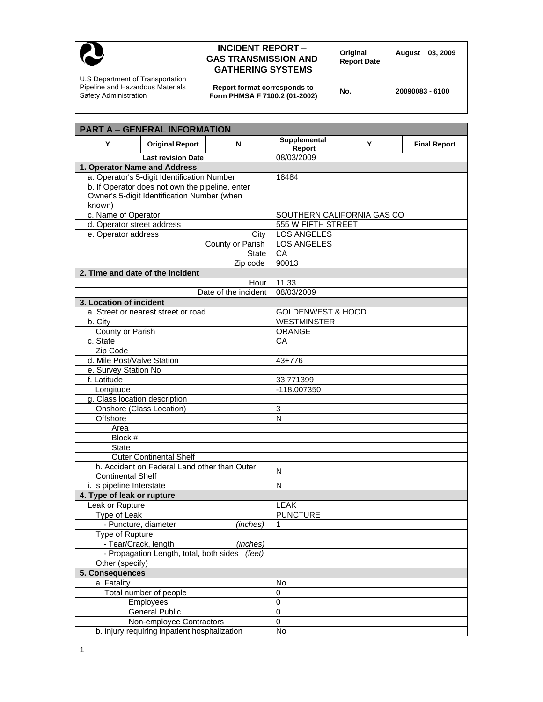

## **INCIDENT REPORT – Property Constrainer August 03, 2009**<br> **GAS TRANSMISSION AND** Report Date **CONSTRANSMISSION GATHERING SYSTEMS**

U.S Department of Transportation Pipeline and Hazardous Materials Safety Administration

**Report format corresponds to Form PHMSA F 7100.2 (01-2002) No. 20090083 - 6100** 

| <b>PART A - GENERAL INFORMATION</b>                                      |                              |                            |                     |  |
|--------------------------------------------------------------------------|------------------------------|----------------------------|---------------------|--|
| Y<br><b>Original Report</b><br>N                                         | Supplemental<br>Report       | Υ                          | <b>Final Report</b> |  |
| <b>Last revision Date</b>                                                | 08/03/2009                   |                            |                     |  |
| 1. Operator Name and Address                                             |                              |                            |                     |  |
| a. Operator's 5-digit Identification Number                              | 18484                        |                            |                     |  |
| b. If Operator does not own the pipeline, enter                          |                              |                            |                     |  |
| Owner's 5-digit Identification Number (when                              |                              |                            |                     |  |
| known)                                                                   |                              |                            |                     |  |
| c. Name of Operator                                                      |                              | SOUTHERN CALIFORNIA GAS CO |                     |  |
| d. Operator street address                                               | 555 W FIFTH STREET           |                            |                     |  |
| e. Operator address<br>City                                              | <b>LOS ANGELES</b>           |                            |                     |  |
| County or Parish                                                         | <b>LOS ANGELES</b>           |                            |                     |  |
| State                                                                    | CA                           |                            |                     |  |
| Zip code                                                                 | 90013                        |                            |                     |  |
| 2. Time and date of the incident                                         |                              |                            |                     |  |
| Hour                                                                     | 11:33                        |                            |                     |  |
| Date of the incident                                                     | 08/03/2009                   |                            |                     |  |
| 3. Location of incident                                                  |                              |                            |                     |  |
| a. Street or nearest street or road                                      | <b>GOLDENWEST &amp; HOOD</b> |                            |                     |  |
| b. City                                                                  | <b>WESTMINSTER</b>           |                            |                     |  |
| County or Parish                                                         | ORANGE                       |                            |                     |  |
| c. State                                                                 | CA                           |                            |                     |  |
| Zip Code                                                                 |                              |                            |                     |  |
| d. Mile Post/Valve Station                                               | 43+776                       |                            |                     |  |
| e. Survey Station No                                                     |                              |                            |                     |  |
| f. Latitude                                                              | 33.771399                    |                            |                     |  |
| Longitude                                                                | -118.007350                  |                            |                     |  |
| g. Class location description                                            |                              |                            |                     |  |
| Onshore (Class Location)                                                 | 3                            |                            |                     |  |
| Offshore                                                                 | N                            |                            |                     |  |
| Area                                                                     |                              |                            |                     |  |
| Block #                                                                  |                              |                            |                     |  |
| <b>State</b>                                                             |                              |                            |                     |  |
| <b>Outer Continental Shelf</b>                                           |                              |                            |                     |  |
| h. Accident on Federal Land other than Outer<br><b>Continental Shelf</b> | N                            |                            |                     |  |
|                                                                          | N                            |                            |                     |  |
| i. Is pipeline Interstate<br>4. Type of leak or rupture                  |                              |                            |                     |  |
| Leak or Rupture                                                          | <b>LEAK</b>                  |                            |                     |  |
| Type of Leak                                                             | <b>PUNCTURE</b>              |                            |                     |  |
| - Puncture, diameter<br>(inches)                                         | 1                            |                            |                     |  |
| <b>Type of Rupture</b>                                                   |                              |                            |                     |  |
| - Tear/Crack, length<br>(inches)                                         |                              |                            |                     |  |
| - Propagation Length, total, both sides<br>(feet)                        |                              |                            |                     |  |
| Other (specify)                                                          |                              |                            |                     |  |
| 5. Consequences                                                          |                              |                            |                     |  |
| a. Fatality                                                              | No                           |                            |                     |  |
| Total number of people                                                   | 0                            |                            |                     |  |
| Employees                                                                | $\mathbf 0$                  |                            |                     |  |
| <b>General Public</b>                                                    | $\pmb{0}$                    |                            |                     |  |
| Non-employee Contractors                                                 | $\overline{0}$               |                            |                     |  |
| b. Injury requiring inpatient hospitalization                            | No                           |                            |                     |  |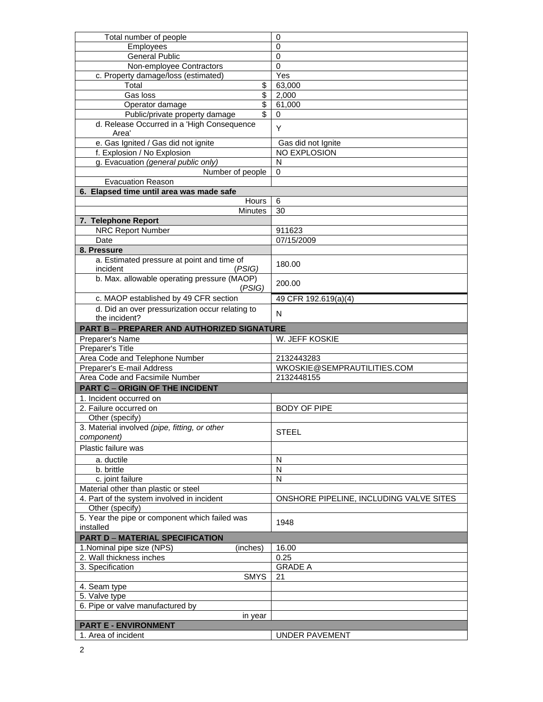| Total number of people                                | 0                                       |
|-------------------------------------------------------|-----------------------------------------|
| Employees                                             | $\mathbf 0$                             |
| <b>General Public</b>                                 | $\mathbf 0$                             |
| Non-employee Contractors                              | 0                                       |
| c. Property damage/loss (estimated)                   | Yes                                     |
| \$<br>Total                                           | 63,000                                  |
| \$<br>Gas loss                                        | 2,000                                   |
| $\overline{\mathcal{S}}$<br>Operator damage           | 61,000                                  |
| Public/private property damage<br>\$                  | 0                                       |
| d. Release Occurred in a 'High Consequence<br>Area'   | Y                                       |
| e. Gas Ignited / Gas did not ignite                   | Gas did not Ignite                      |
| f. Explosion / No Explosion                           | NO EXPLOSION                            |
| g. Evacuation (general public only)                   | N                                       |
| Number of people                                      | 0                                       |
| <b>Evacuation Reason</b>                              |                                         |
| 6. Elapsed time until area was made safe              |                                         |
| Hours                                                 | 6                                       |
| <b>Minutes</b>                                        | 30                                      |
| 7. Telephone Report                                   |                                         |
| <b>NRC Report Number</b>                              | 911623                                  |
| Date                                                  | 07/15/2009                              |
| 8. Pressure                                           |                                         |
| a. Estimated pressure at point and time of            |                                         |
| incident<br>(PSIG)                                    | 180.00                                  |
| b. Max. allowable operating pressure (MAOP)<br>(PSIG) | 200.00                                  |
| c. MAOP established by 49 CFR section                 | 49 CFR 192.619(a)(4)                    |
| d. Did an over pressurization occur relating to       |                                         |
| the incident?                                         | N                                       |
| <b>PART B - PREPARER AND AUTHORIZED SIGNATURE</b>     |                                         |
| Preparer's Name                                       | W. JEFF KOSKIE                          |
| Preparer's Title                                      |                                         |
| Area Code and Telephone Number                        | 2132443283                              |
| Preparer's E-mail Address                             | WKOSKIE@SEMPRAUTILITIES.COM             |
| Area Code and Facsimile Number                        | 2132448155                              |
| <b>PART C - ORIGIN OF THE INCIDENT</b>                |                                         |
| 1. Incident occurred on                               |                                         |
| 2. Failure occurred on                                | <b>BODY OF PIPE</b>                     |
| Other (specify)                                       |                                         |
| 3. Material involved (pipe, fitting, or other         |                                         |
| component)                                            | <b>STEEL</b>                            |
| Plastic failure was                                   |                                         |
| a. ductile                                            | N                                       |
| b. brittle                                            | N                                       |
| c. joint failure                                      | N                                       |
| Material other than plastic or steel                  |                                         |
| 4. Part of the system involved in incident            | ONSHORE PIPELINE, INCLUDING VALVE SITES |
| Other (specify)                                       |                                         |
| 5. Year the pipe or component which failed was        |                                         |
| installed                                             | 1948                                    |
| <b>PART D - MATERIAL SPECIFICATION</b>                |                                         |
| 1. Nominal pipe size (NPS)<br>(inches)                | 16.00                                   |
| 2. Wall thickness inches                              | 0.25                                    |
| 3. Specification                                      | <b>GRADE A</b>                          |
| <b>SMYS</b>                                           | 21                                      |
|                                                       |                                         |
| 4. Seam type                                          |                                         |
| 5. Valve type                                         |                                         |
| 6. Pipe or valve manufactured by                      |                                         |
| in year                                               |                                         |
| <b>PART E - ENVIRONMENT</b>                           |                                         |
| 1. Area of incident                                   | <b>UNDER PAVEMENT</b>                   |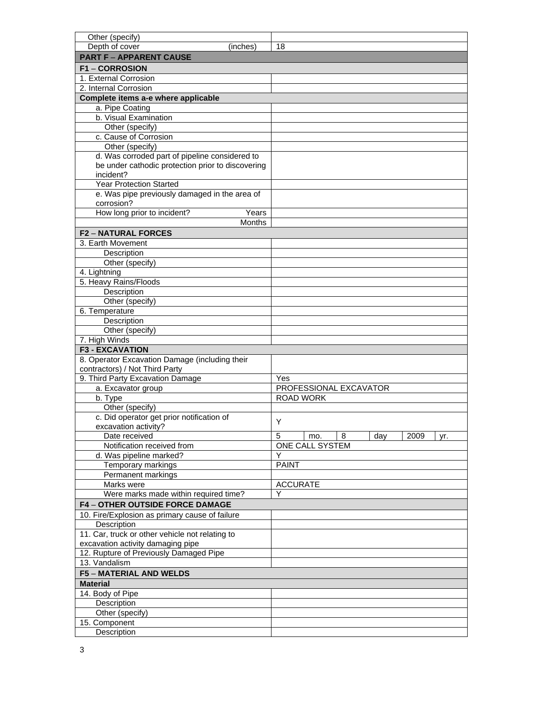| Other (specify)                                   |                                     |
|---------------------------------------------------|-------------------------------------|
| Depth of cover<br>(inches)                        | 18                                  |
| <b>PART F - APPARENT CAUSE</b>                    |                                     |
| <b>F1-CORROSION</b>                               |                                     |
| 1. External Corrosion                             |                                     |
| 2. Internal Corrosion                             |                                     |
| Complete items a-e where applicable               |                                     |
| a. Pipe Coating                                   |                                     |
| b. Visual Examination                             |                                     |
| Other (specify)                                   |                                     |
| c. Cause of Corrosion                             |                                     |
| Other (specify)                                   |                                     |
| d. Was corroded part of pipeline considered to    |                                     |
| be under cathodic protection prior to discovering |                                     |
| incident?                                         |                                     |
| <b>Year Protection Started</b>                    |                                     |
| e. Was pipe previously damaged in the area of     |                                     |
| corrosion?                                        |                                     |
| How long prior to incident?<br>Years              |                                     |
| <b>Months</b>                                     |                                     |
| <b>F2-NATURAL FORCES</b>                          |                                     |
| 3. Earth Movement                                 |                                     |
| Description                                       |                                     |
| Other (specify)                                   |                                     |
| 4. Lightning                                      |                                     |
| 5. Heavy Rains/Floods                             |                                     |
| Description                                       |                                     |
| Other (specify)                                   |                                     |
| 6. Temperature                                    |                                     |
| Description                                       |                                     |
| Other (specify)                                   |                                     |
| 7. High Winds                                     |                                     |
| <b>F3 - EXCAVATION</b>                            |                                     |
| 8. Operator Excavation Damage (including their    |                                     |
| contractors) / Not Third Party                    |                                     |
| 9. Third Party Excavation Damage                  | Yes                                 |
| a. Excavator group                                | PROFESSIONAL EXCAVATOR              |
| b. Type                                           | <b>ROAD WORK</b>                    |
| Other (specify)                                   |                                     |
| c. Did operator get prior notification of         | Y                                   |
| excavation activity?                              |                                     |
| Date received                                     | 8<br>5<br>2009<br>day<br>mo.<br>yr. |
| Notification received from                        | <b>ONE CALL SYSTEM</b>              |
| d. Was pipeline marked?                           | Υ                                   |
| Temporary markings                                | <b>PAINT</b>                        |
| Permanent markings                                |                                     |
| Marks were                                        | <b>ACCURATE</b>                     |
| Were marks made within required time?             |                                     |
| <b>F4-OTHER OUTSIDE FORCE DAMAGE</b>              |                                     |
| 10. Fire/Explosion as primary cause of failure    |                                     |
| Description                                       |                                     |
| 11. Car, truck or other vehicle not relating to   |                                     |
| excavation activity damaging pipe                 |                                     |
| 12. Rupture of Previously Damaged Pipe            |                                     |
| 13. Vandalism                                     |                                     |
| <b>F5 - MATERIAL AND WELDS</b>                    |                                     |
| <b>Material</b>                                   |                                     |
| 14. Body of Pipe                                  |                                     |
| Description                                       |                                     |
| Other (specify)                                   |                                     |
| 15. Component                                     |                                     |
| Description                                       |                                     |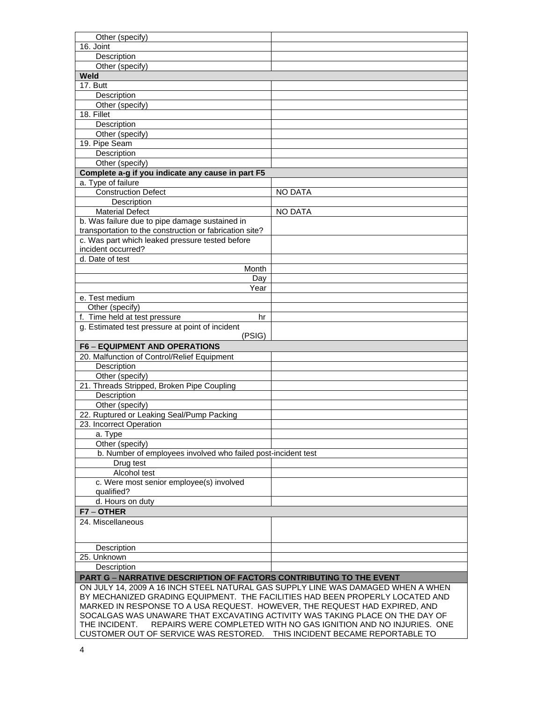| Other (specify)                                                                  |                                                                  |  |  |
|----------------------------------------------------------------------------------|------------------------------------------------------------------|--|--|
| 16. Joint                                                                        |                                                                  |  |  |
| Description                                                                      |                                                                  |  |  |
| Other (specify)                                                                  |                                                                  |  |  |
| Weld                                                                             |                                                                  |  |  |
| 17. Butt                                                                         |                                                                  |  |  |
| Description                                                                      |                                                                  |  |  |
| Other (specify)                                                                  |                                                                  |  |  |
| 18. Fillet                                                                       |                                                                  |  |  |
| Description                                                                      |                                                                  |  |  |
| Other (specify)                                                                  |                                                                  |  |  |
| 19. Pipe Seam                                                                    |                                                                  |  |  |
| Description                                                                      |                                                                  |  |  |
| Other (specify)                                                                  |                                                                  |  |  |
| Complete a-g if you indicate any cause in part F5                                |                                                                  |  |  |
| a. Type of failure                                                               |                                                                  |  |  |
| <b>Construction Defect</b>                                                       | <b>NO DATA</b>                                                   |  |  |
| Description                                                                      |                                                                  |  |  |
| <b>Material Defect</b>                                                           | <b>NO DATA</b>                                                   |  |  |
| b. Was failure due to pipe damage sustained in                                   |                                                                  |  |  |
| transportation to the construction or fabrication site?                          |                                                                  |  |  |
| c. Was part which leaked pressure tested before                                  |                                                                  |  |  |
| incident occurred?                                                               |                                                                  |  |  |
| d. Date of test                                                                  |                                                                  |  |  |
| Month                                                                            |                                                                  |  |  |
| Day                                                                              |                                                                  |  |  |
| Year                                                                             |                                                                  |  |  |
| e. Test medium                                                                   |                                                                  |  |  |
| Other (specify)                                                                  |                                                                  |  |  |
| f. Time held at test pressure<br>hr                                              |                                                                  |  |  |
| g. Estimated test pressure at point of incident                                  |                                                                  |  |  |
| (PSIG)                                                                           |                                                                  |  |  |
| <b>F6 - EQUIPMENT AND OPERATIONS</b>                                             |                                                                  |  |  |
| 20. Malfunction of Control/Relief Equipment                                      |                                                                  |  |  |
| Description                                                                      |                                                                  |  |  |
| Other (specify)                                                                  |                                                                  |  |  |
| 21. Threads Stripped, Broken Pipe Coupling                                       |                                                                  |  |  |
| Description                                                                      |                                                                  |  |  |
| Other (specify)                                                                  |                                                                  |  |  |
| 22. Ruptured or Leaking Seal/Pump Packing                                        |                                                                  |  |  |
| 23. Incorrect Operation                                                          |                                                                  |  |  |
| a. Type                                                                          |                                                                  |  |  |
| Other (specify)                                                                  |                                                                  |  |  |
| b. Number of employees involved who failed post-incident test                    |                                                                  |  |  |
| Drug test                                                                        |                                                                  |  |  |
| Alcohol test                                                                     |                                                                  |  |  |
| c. Were most senior employee(s) involved                                         |                                                                  |  |  |
| qualified?                                                                       |                                                                  |  |  |
| d. Hours on duty                                                                 |                                                                  |  |  |
| F7-OTHER                                                                         |                                                                  |  |  |
| 24. Miscellaneous                                                                |                                                                  |  |  |
|                                                                                  |                                                                  |  |  |
|                                                                                  |                                                                  |  |  |
| Description                                                                      |                                                                  |  |  |
| 25. Unknown                                                                      |                                                                  |  |  |
| Description                                                                      |                                                                  |  |  |
| <b>PART G - NARRATIVE DESCRIPTION OF FACTORS CONTRIBUTING TO THE EVENT</b>       |                                                                  |  |  |
| ON JULY 14, 2009 A 16 INCH STEEL NATURAL GAS SUPPLY LINE WAS DAMAGED WHEN A WHEN |                                                                  |  |  |
| BY MECHANIZED GRADING EQUIPMENT. THE FACILITIES HAD BEEN PROPERLY LOCATED AND    |                                                                  |  |  |
| MARKED IN RESPONSE TO A USA REQUEST. HOWEVER, THE REQUEST HAD EXPIRED, AND       |                                                                  |  |  |
| SOCALGAS WAS UNAWARE THAT EXCAVATING ACTIVITY WAS TAKING PLACE ON THE DAY OF     |                                                                  |  |  |
|                                                                                  |                                                                  |  |  |
| THE INCIDENT.                                                                    | REPAIRS WERE COMPLETED WITH NO GAS IGNITION AND NO INJURIES. ONE |  |  |